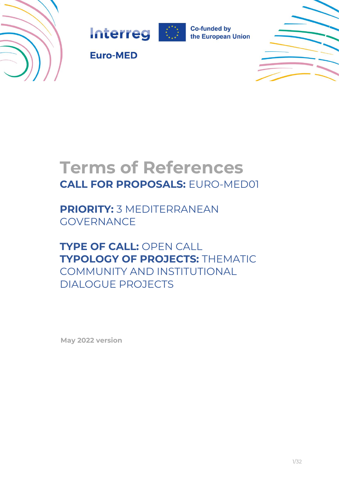





**Co-funded by** the European Union



**Euro-MED** 

# **Terms of References CALL FOR PROPOSALS:** EURO-MED01

**PRIORITY:** 3 MEDITERRANEAN GOVERNANCE

**TYPE OF CALL:** OPEN CALL **TYPOLOGY OF PROJECTS:** THEMATIC COMMUNITY AND INSTITUTIONAL DIALOGUE PROJECTS

**May 2022 version**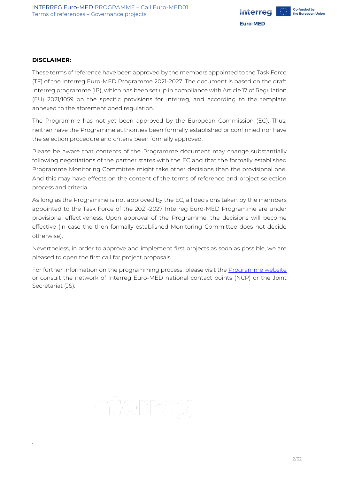

#### **DISCLAIMER:**

2

These terms of reference have been approved by the members appointed to the Task Force (TF) of the Interreg Euro-MED Programme 2021-2027. The document is based on the draft Interreg programme (IP), which has been set up in compliance with Article 17 of Regulation (EU) 2021/1059 on the specific provisions for Interreg, and according to the template annexed to the aforementioned regulation.

The Programme has not yet been approved by the European Commission (EC). Thus, neither have the Programme authorities been formally established or confirmed nor have the selection procedure and criteria been formally approved.

Please be aware that contents of the Programme document may change substantially following negotiations of the partner states with the EC and that the formally established Programme Monitoring Committee might take other decisions than the provisional one. And this may have effects on the content of the terms of reference and project selection process and criteria.

As long as the Programme is not approved by the EC, all decisions taken by the members appointed to the Task Force of the 2021-2027 Interreg Euro-MED Programme are under provisional effectiveness. Upon approval of the Programme, the decisions will become effective (in case the then formally established Monitoring Committee does not decide otherwise).

Nevertheless, in order to approve and implement first projects as soon as possible, we are pleased to open the first call for project proposals.

For further information on the programming process, please visit the [Programme website](https://interreg-euro-med.eu/) or consult the network of Interreg Euro-MED national contact points (NCP) or the Joint Secretariat (JS).

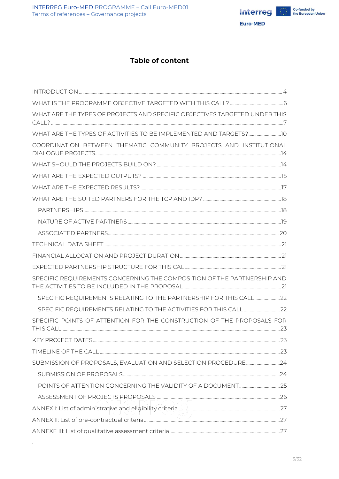

## **Table of content**

| WHAT ARE THE TYPES OF PROJECTS AND SPECIFIC OBJECTIVES TARGETED UNDER THIS |  |
|----------------------------------------------------------------------------|--|
|                                                                            |  |
| COORDINATION BETWEEN THEMATIC COMMUNITY PROJECTS AND INSTITUTIONAL         |  |
|                                                                            |  |
|                                                                            |  |
|                                                                            |  |
|                                                                            |  |
|                                                                            |  |
|                                                                            |  |
|                                                                            |  |
|                                                                            |  |
|                                                                            |  |
|                                                                            |  |
| SPECIFIC REQUIREMENTS CONCERNING THE COMPOSITION OF THE PARTNERSHIP AND    |  |
| SPECIFIC REQUIREMENTS RELATING TO THE PARTNERSHIP FOR THIS CALL 22         |  |
|                                                                            |  |
| SPECIFIC POINTS OF ATTENTION FOR THE CONSTRUCTION OF THE PROPOSALS FOR     |  |
|                                                                            |  |
|                                                                            |  |
|                                                                            |  |
|                                                                            |  |
|                                                                            |  |
|                                                                            |  |
|                                                                            |  |
|                                                                            |  |
|                                                                            |  |

 $\sim 3$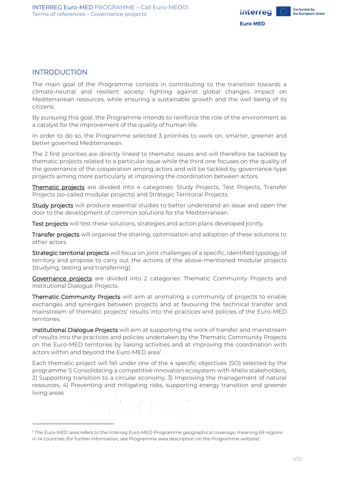

## <span id="page-3-0"></span>INTRODUCTION

The main goal of the Programme consists in contributing to the transition towards a climate-neutral and resilient society: fighting against global changes impact on Mediterranean resources, while ensuring a sustainable growth and the well-being of its citizens.

By pursuing this goal, the Programme intends to reinforce the role of the environment as a catalyst for the improvement of the quality of human life.

In order to do so, the Programme selected 3 priorities to work on: smarter, greener and better governed Mediterranean.

The 2 first priorities are directly linked to thematic issues and will therefore be tackled by thematic projects related to a particular issue while the third one focuses on the quality of the governance of the cooperation among actors and will be tackled by governance-type projects aiming more particularly at improving the coordination between actors.

Thematic projects are divided into 4 categories: Study Projects, Test Projects, Transfer Projects (so-called modular projects) and Strategic Territorial Projects.

Study projects will produce essential studies to better understand an issue and open the door to the development of common solutions for the Mediterranean.

Test projects will test these solutions, strategies and action plans developed jointly.

Transfer projects will organise the sharing, optimisation and adoption of these solutions to other actors.

Strategic territorial projects will focus on joint challenges of a specific, identified typology of territory and propose to carry out the actions of the above-mentioned modular projects (studying, testing and transferring).

Governance projects are divided into 2 categories: Thematic Community Projects and Institutional Dialogue Projects.

Thematic Community Projects will aim at animating a community of projects to enable exchanges and synergies between projects and at favouring the technical transfer and mainstream of thematic projects' results into the practices and policies of the Euro-MED territories.

Institutional Dialogue Projects will aim at supporting the work of transfer and mainstream of results into the practices and policies undertaken by the Thematic Community Projects on the Euro-MED territories by liaising activities and at improving the coordination with actors within and beyond the Euro-MED area<sup>1</sup>.

Each thematic project will fall under one of the 4 specific objectives (SO) selected by the programme 1) Consolidating a competitive innovation ecosystem with 4helix stakeholders, 2) Supporting transition to a circular economy, 3) Improving the management of natural resources, 4) Preventing and mitigating risks, supporting energy transition and greener living areas

<sup>1</sup> The Euro-MED area refers to the Interreg Euro-MED Programme geographical coverage, meaning 69 regions in 14 countries (for further information, see Programme area description on the Programme website)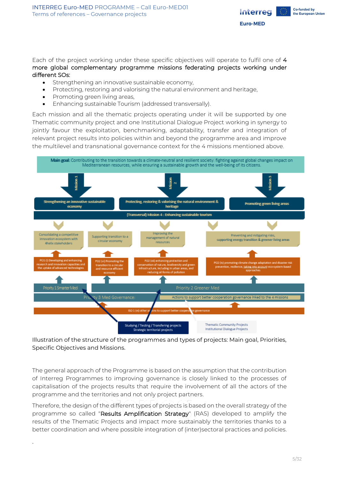

Each of the project working under these specific objectives will operate to fulfil one of 4 more global complementary programme missions federating projects working under different SOs:

- Strengthening an innovative sustainable economy,
- Protecting, restoring and valorising the natural environment and heritage,
- Promoting green living areas,

5

• Enhancing sustainable Tourism (addressed transversally).

Each mission and all the thematic projects operating under it will be supported by one Thematic community project and one Institutional Dialogue Project working in synergy to jointly favour the exploitation, benchmarking, adaptability, transfer and integration of relevant project results into policies within and beyond the programme area and improve the multilevel and transnational governance context for the 4 missions mentioned above.



Illustration of the structure of the programmes and types of projects: Main goal, Priorities, Specific Objectives and Missions.

The general approach of the Programme is based on the assumption that the contribution of Interreg Programmes to improving governance is closely linked to the processes of capitalisation of the projects results that require the involvement of all the actors of the programme and the territories and not only project partners.

Therefore, the design of the different types of projects is based on the overall strategy of the programme so called "Results Amplification Strategy" (RAS) developed to amplify the results of the Thematic Projects and impact more sustainably the territories thanks to a better coordination and where possible integration of (inter)sectoral practices and policies.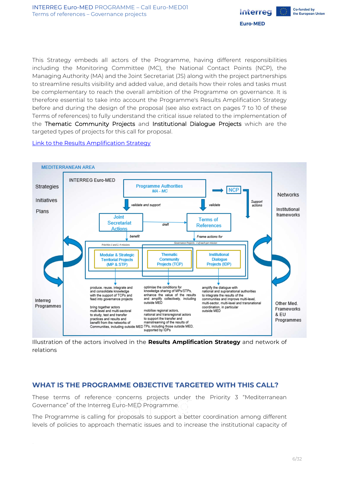

This Strategy embeds all actors of the Programme, having different responsibilities including the Monitoring Committee (MC), the National Contact Points (NCP), the Managing Authority (MA) and the Joint Secretariat (JS) along with the project partnerships to streamline results visibility and added value, and details how their roles and tasks must be complementary to reach the overall ambition of the Programme on governance. It is therefore essential to take into account the Programme's Results Amplification Strategy before and during the design of the proposal (see also extract on pages 7 to 10 of these Terms of references) to fully understand the critical issue related to the implementation of the Thematic Community Projects and Institutional Dialogue Projects which are the targeted types of projects for this call for proposal.

#### Link [to the Results Amplification Strategy](https://interreg-med.eu/fileadmin/user_upload/Sites/Programme/Explore/What_is_Interreg_Med/Future_programme/Interreg_Euro-MED_Results_Amplification_Strategy.pdf)



Illustration of the actors involved in the **Results Amplification Strategy** and network of relations

## <span id="page-5-0"></span>**WHAT IS THE PROGRAMME OBJECTIVE TARGETED WITH THIS CALL?**

These terms of reference concerns projects under the Priority 3 "Mediterranean Governance" of the Interreg Euro-MED Programme.

The Programme is calling for proposals to support a better coordination among different levels of policies to approach thematic issues and to increase the institutional capacity of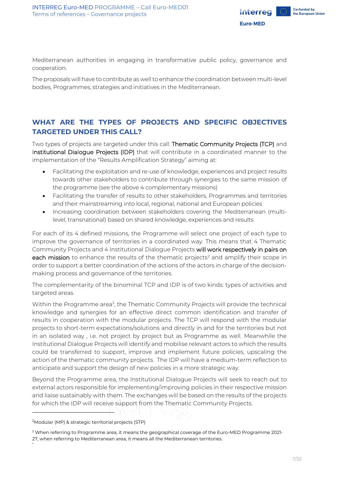

Mediterranean authorities in engaging in transformative public policy, governance and cooperation.

The proposals will have to contribute as well to enhance the coordination between multi-level bodies, Programmes, strategies and initiatives in the Mediterranean.

## <span id="page-6-0"></span>**WHAT ARE THE TYPES OF PROJECTS AND SPECIFIC OBJECTIVES TARGETED UNDER THIS CALL?**

Two types of projects are targeted under this call: Thematic Community Projects (TCP) and Institutional Dialogue Projects (IDP) that will contribute in a coordinated manner to the implementation of the "Results Amplification Strategy" aiming at:

- Facilitating the exploitation and re-use of knowledge, experiences and project results towards other stakeholders to contribute through synergies to the same mission of the programme (see the above 4 complementary missions)
- Facilitating the transfer of results to other stakeholders, Programmes and territories and their mainstreaming into local, regional, national and European policies
- Increasing coordination between stakeholders covering the Mediterranean (multilevel, transnational) based on shared knowledge, experiences and results

For each of its 4 defined missions, the Programme will select one project of each type to improve the governance of territories in a coordinated way. This means that 4 Thematic Community Projects and 4 Institutional Dialogue Projects will work respectively in pairs on each mission to enhance the results of the thematic projects<sup>2</sup> and amplify their scope in order to support a better coordination of the actions of the actors in charge of the decisionmaking process and governance of the territories.

The complementarity of the binominal TCP and IDP is of two kinds: types of activities and targeted areas.

Within the Programme area<sup>3</sup>, the Thematic Community Projects will provide the technical knowledge and synergies for an effective direct common identification and transfer of results in cooperation with the modular projects. The TCP will respond with the modular projects to short-term expectations/solutions and directly in and for the territories but not in an isolated way , i.e. not project by project but as Programme as well. Meanwhile the Institutional Dialogue Projects will identify and mobilise relevant actors to which the results could be transferred to support, improve and implement future policies, upscaling the action of the thematic community projects. The IDP will have a medium-term reflection to anticipate and support the design of new policies in a more strategic way.

Beyond the Programme area, the Institutional Dialogue Projects will seek to reach out to external actors responsible for implementing/improving policies in their respective mission and liaise sustainably with them. The exchanges will be based on the results of the projects for which the IDP will receive support from the Thematic Community Projects.

<sup>&</sup>lt;sup>2</sup>Modular (MP) & strategic territorial projects (STP)

<sup>&</sup>lt;sup>3</sup> When referring to Programme area, it means the geographical coverage of the Euro-MED Programme 2021-27, when referring to Mediterranean area, it means all the Mediterranean territories.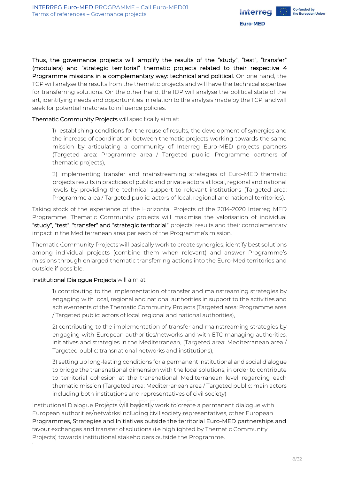

Thus, the governance projects will amplify the results of the "study", "test", "transfer" (modulars) and "strategic territorial" thematic projects related to their respective 4 Programme missions in a complementary way: technical and political. On one hand, the TCP will analyse the results from the thematic projects and will have the technical expertise for transferring solutions. On the other hand, the IDP will analyse the political state of the art, identifying needs and opportunities in relation to the analysis made by the TCP, and will seek for potential matches to influence policies.

Thematic Community Projects will specifically aim at:

1) establishing conditions for the reuse of results, the development of synergies and the increase of coordination between thematic projects working towards the same mission by articulating a community of Interreg Euro-MED projects partners (Targeted area: Programme area / Targeted public: Programme partners of thematic projects),

2) implementing transfer and mainstreaming strategies of Euro-MED thematic projects results in practices of public and private actors at local, regional and national levels by providing the technical support to relevant institutions (Targeted area: Programme area / Targeted public: actors of local, regional and national territories).

Taking stock of the experience of the Horizontal Projects of the 2014-2020 Interreg MED Programme, Thematic Community projects will maximise the valorisation of individual "study", "test", "transfer" and "strategic territorial" projects' results and their complementary impact in the Mediterranean area per each of the Programme's mission.

Thematic Community Projects will basically work to create synergies, identify best solutions among individual projects (combine them when relevant) and answer Programme's missions through enlarged thematic transferring actions into the Euro-Med territories and outside if possible.

#### Institutional Dialogue Projects will aim at:

8

1) contributing to the implementation of transfer and mainstreaming strategies by engaging with local, regional and national authorities in support to the activities and achievements of the Thematic Community Projects (Targeted area: Programme area / Targeted public: actors of local, regional and national authorities),

2) contributing to the implementation of transfer and mainstreaming strategies by engaging with European authorities/networks and with ETC managing authorities, initiatives and strategies in the Mediterranean, (Targeted area: Mediterranean area / Targeted public: transnational networks and institutions),

3) setting up long-lasting conditions for a permanent institutional and social dialogue to bridge the transnational dimension with the local solutions, in order to contribute to territorial cohesion at the transnational Mediterranean level regarding each thematic mission (Targeted area: Mediterranean area / Targeted public: main actors including both institutions and representatives of civil society)

Institutional Dialogue Projects will basically work to create a permanent dialogue with European authorities/networks including civil society representatives, other European Programmes, Strategies and Initiatives outside the territorial Euro-MED partnerships and favour exchanges and transfer of solutions (i.e highlighted by Thematic Community Projects) towards institutional stakeholders outside the Programme.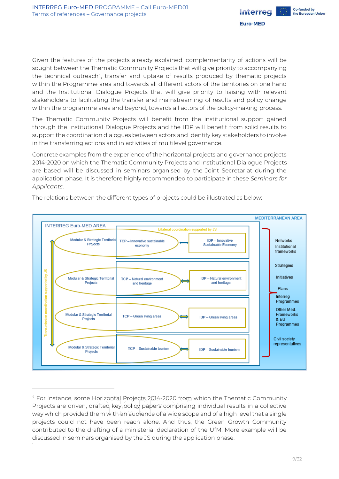

Given the features of the projects already explained, complementarity of actions will be sought between the Thematic Community Projects that will give priority to accompanying the technical outreach<sup>4</sup>, transfer and uptake of results produced by thematic projects within the Programme area and towards all different actors of the territories on one hand and the Institutional Dialogue Projects that will give priority to liaising with relevant stakeholders to facilitating the transfer and mainstreaming of results and policy change within the programme area and beyond, towards all actors of the policy-making process.

The Thematic Community Projects will benefit from the institutional support gained through the Institutional Dialogue Projects and the IDP will benefit from solid results to support the coordination dialogues between actors and identify key stakeholders to involve in the transferring actions and in activities of multilevel governance.

Concrete examples from the experience of the horizontal projects and governance projects 2014-2020 on which the Thematic Community Projects and Institutional Dialogue Projects are based will be discussed in seminars organised by the Joint Secretariat during the application phase. It is therefore highly recommended to participate in these *Seminars for Applicants*.



The relations between the different types of projects could be illustrated as below:

<sup>9</sup> <sup>4</sup> For instance, some Horizontal Projects 2014-2020 from which the Thematic Community Projects are driven, drafted key policy papers comprising individual results in a collective way which provided them with an audience of a wide scope and of a high level that a single projects could not have been reach alone. And thus, the Green Growth Community contributed to the drafting of a ministerial declaration of the UfM. More example will be discussed in seminars organised by the JS during the application phase.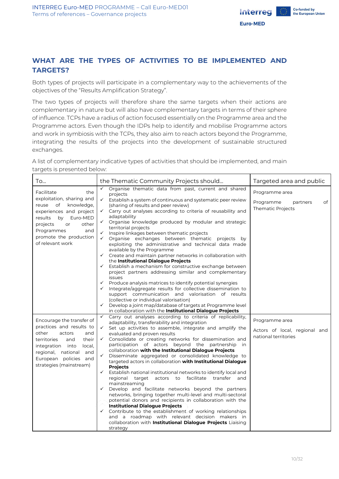

## <span id="page-9-0"></span>**WHAT ARE THE TYPES OF ACTIVITIES TO BE IMPLEMENTED AND TARGETS?**

Both types of projects will participate in a complementary way to the achievements of the objectives of the "Results Amplification Strategy".

The two types of projects will therefore share the same targets when their actions are complementary in nature but will also have complementary targets in terms of their sphere of influence. TCPs have a radius of action focused essentially on the Programme area and the Programme actors. Even though the IDPs help to identify and mobilise Programme actors and work in symbiosis with the TCPs, they also aim to reach actors beyond the Programme, integrating the results of the projects into the development of sustainable structured exchanges.

A list of complementary indicative types of activities that should be implemented, and main targets is presented below:

| To                                                                                                                                                                                                                             | the Thematic Community Projects should                                                                                                                                                                                                                                                                                                                                                                                                                                                                                                                                                                                                                                                                                                                                                                                                                                                                                                                                                                                                                                                                                                                                                                                                                                      | Targeted area and public                                                  |
|--------------------------------------------------------------------------------------------------------------------------------------------------------------------------------------------------------------------------------|-----------------------------------------------------------------------------------------------------------------------------------------------------------------------------------------------------------------------------------------------------------------------------------------------------------------------------------------------------------------------------------------------------------------------------------------------------------------------------------------------------------------------------------------------------------------------------------------------------------------------------------------------------------------------------------------------------------------------------------------------------------------------------------------------------------------------------------------------------------------------------------------------------------------------------------------------------------------------------------------------------------------------------------------------------------------------------------------------------------------------------------------------------------------------------------------------------------------------------------------------------------------------------|---------------------------------------------------------------------------|
| Facilitate<br>the<br>exploitation, sharing and<br>of<br>knowledge,<br>reuse<br>experiences and project<br>by Euro-MED<br>results<br>other<br>projects<br>or<br>Programmes<br>and<br>promote the production<br>of relevant work | Organise thematic data from past, current and shared<br>$\checkmark$<br>projects<br>$\checkmark$<br>Establish a system of continuous and systematic peer review<br>(sharing of results and peer review)<br>Carry out analyses according to criteria of reusability and<br>$\checkmark$<br>adaptability<br>Organise knowledge produced by modular and strategic<br>$\checkmark$<br>territorial projects<br>Inspire linkages between thematic projects<br>✓<br>$\checkmark$<br>Organise exchanges between thematic projects by<br>exploiting the administrative and technical data made<br>available by the Programme<br>$\checkmark$ Create and maintain partner networks in collaboration with<br>the Institutional Dialogue Projects<br>$\checkmark$ Establish a mechanism for constructive exchange between<br>project partners addressing similar and complementary<br><i>issues</i><br>$\checkmark$ Produce analysis matrices to identify potential synergies<br>$\checkmark$ Integrate/aggregate results for collective dissemination to<br>support communication and valorisation of results<br>(collective or individual valorisation)<br>← Develop a joint map/database of targets at Programme level                                                               | Programme area<br>Programme<br>of<br>partners<br><b>Thematic Projects</b> |
| Encourage the transfer of<br>practices and results to<br>other<br>actors<br>and<br>their<br>territories<br>and<br>integration into<br>local,<br>regional, national and<br>European policies and<br>strategies (mainstream)     | in collaboration with the Institutional Dialogue Projects<br>Carry out analyses according to criteria of replicability,<br>$\checkmark$<br>adaptability, transferability and integration<br>Set up activities to assemble, integrate and amplify the<br>$\checkmark$<br>evaluated and proven results<br>Consolidate or creating networks for dissemination and<br>$\checkmark$<br>participation of actors beyond the partnership in<br>collaboration with the Institutional Dialogue Projects<br>$\checkmark$<br>Disseminate aggregated or consolidated knowledge to<br>targeted actors in collaboration with Institutional Dialogue<br><b>Projects</b><br>$\checkmark$<br>Establish national institutional networks to identify local and<br>regional target actors to<br>facilitate<br>transfer<br>and<br>mainstreaming<br>Develop and facilitate networks beyond the partners<br>$\checkmark$<br>networks, bringing together multi-level and multi-sectoral<br>potential donors and recipients in collaboration with the<br><b>Institutional Dialogue Projects</b><br>$\checkmark$ Contribute to the establishment of working relationships<br>and a roadmap with relevant decision makers in<br>collaboration with Institutional Dialogue Projects Liaising<br>strategy | Programme area<br>Actors of local, regional and<br>national territories   |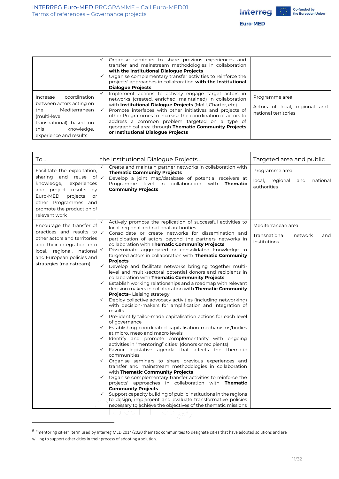

Euro-MED

|                                                                                                                                                                          | Organise seminars to share previous experiences and<br>transfer and mainstream methodologies in collaboration<br>with the Institutional Dialogue Projects<br>Organise complementary transfer activities to reinforce the<br>projects' approaches in collaboration with the Institutional<br><b>Dialogue Projects</b>                                                                                                                                       |                                                                            |
|--------------------------------------------------------------------------------------------------------------------------------------------------------------------------|------------------------------------------------------------------------------------------------------------------------------------------------------------------------------------------------------------------------------------------------------------------------------------------------------------------------------------------------------------------------------------------------------------------------------------------------------------|----------------------------------------------------------------------------|
| coordination<br>Increase<br>between actors acting on<br>Mediterranean<br>the<br>(multi-level,<br>transnational) based on<br>this<br>knowledge.<br>experience and results | Implement actions to actively engage target actors in<br>networks (created, enriched, maintained) in collaboration<br>with Institutional Dialogue Projects (MoU, Charter, etc)<br>Promote interfaces with other initiatives and projects of<br>other Programmes to increase the coordination of actors to<br>address a common problem targeted on a type of<br>geographical area through Thematic Community Projects<br>or Institutional Dialogue Projects | Programme area<br>Actors of local, regional<br>and<br>national territories |

| To                                                                                                                                                                                                                 | the Institutional Dialogue Projects                                                                                                                                                                                                                                    | Targeted area and public                                               |
|--------------------------------------------------------------------------------------------------------------------------------------------------------------------------------------------------------------------|------------------------------------------------------------------------------------------------------------------------------------------------------------------------------------------------------------------------------------------------------------------------|------------------------------------------------------------------------|
| Facilitate the exploitation,<br>sharing and reuse<br>оf<br>knowledge,<br>experiences<br>and project results by<br>Euro-MED<br>projects<br>or<br>other Programmes and<br>promote the production of<br>relevant work | Create and maintain partner networks in collaboration with<br><b>Thematic Community Projects</b><br>$\checkmark$<br>Develop a joint map/database of potential receivers at<br>Programme level in collaboration<br>with<br><b>Thematic</b><br><b>Community Projects</b> | Programme area<br>local,<br>regional<br>national<br>and<br>authorities |
| Encourage the transfer of                                                                                                                                                                                          | Actively promote the replication of successful activities to<br>✓<br>local, regional and national authorities                                                                                                                                                          | Mediterranean area                                                     |
| practices and results to<br>other actors and territories<br>and their integration into                                                                                                                             | $\checkmark$<br>Consolidate or create networks for dissemination and<br>participation of actors beyond the partners networks in<br>collaboration with Thematic Community Projects                                                                                      | Transnational<br>network<br>and<br>institutions                        |
| local, regional, national<br>and European policies and                                                                                                                                                             | Disseminate aggregated or consolidated knowledge to<br>✓<br>targeted actors in collaboration with Thematic Community                                                                                                                                                   |                                                                        |
| strategies (mainstream)                                                                                                                                                                                            | <b>Projects</b><br>$\checkmark$<br>Develop and facilitate networks bringing together multi-<br>level and multi-sectoral potential donors and recipients in                                                                                                             |                                                                        |
|                                                                                                                                                                                                                    | collaboration with Thematic Community Projects<br>Establish working relationships and a roadmap with relevant<br>✓<br>decision makers in collaboration with Thematic Community                                                                                         |                                                                        |
|                                                                                                                                                                                                                    | <b>Projects-Liaising strategy</b><br>Deploy collective advocacy activities (including networking)<br>$\checkmark$<br>with decision-makers for amplification and integration of                                                                                         |                                                                        |
|                                                                                                                                                                                                                    | results<br>$\checkmark$<br>Pre-identify tailor-made capitalisation actions for each level                                                                                                                                                                              |                                                                        |
|                                                                                                                                                                                                                    | of governance<br>Establishing coordinated capitalisation mechanisms/bodies<br>$\checkmark$                                                                                                                                                                             |                                                                        |
|                                                                                                                                                                                                                    | at micro, meso and macro levels<br>Identify and promote complementarity with ongoing<br>✓<br>activities in "mentoring" cities <sup>5</sup> (donors or recipients)                                                                                                      |                                                                        |
|                                                                                                                                                                                                                    | Favour legislative agenda that affects the thematic<br>$\checkmark$<br>communities                                                                                                                                                                                     |                                                                        |
|                                                                                                                                                                                                                    | $\checkmark$ Organise seminars to share previous experiences and<br>transfer and mainstream methodologies in collaboration                                                                                                                                             |                                                                        |
|                                                                                                                                                                                                                    | with Thematic Community Projects<br>$\checkmark$ Organise complementary transfer activities to reinforce the<br>projects' approaches in collaboration with Thematic                                                                                                    |                                                                        |
|                                                                                                                                                                                                                    | <b>Community Projects</b><br>$\checkmark$ Support capacity building of public institutions in the regions<br>to design, implement and evaluate transformative policies<br>necessary to achieve the objectives of the thematic missions                                 |                                                                        |

<sup>5</sup> "mentoring cities": term used by Interreg MED 2014/2020 thematic communities to designate cities that have adopted solutions and are willing to support other cities in their process of adopting a solution.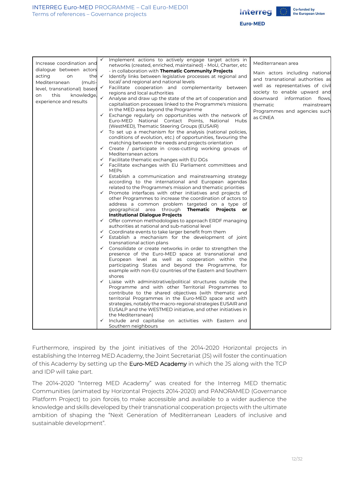



**Euro-MED** 

| Increase coordination and        | $\checkmark$ | Implement actions to actively engage target actors in                                                                      | Mediterranean area               |
|----------------------------------|--------------|----------------------------------------------------------------------------------------------------------------------------|----------------------------------|
| dialogue between actors          |              | networks (created, enriched, maintained) - MoU, Charter, etc                                                               |                                  |
| acting<br>the $\checkmark$<br>on |              | - in collaboration with <b>Thematic Community Projects</b>                                                                 | Main actors including national   |
|                                  |              | Identify links between legislative processes at regional and                                                               | and transnational authorities as |
| Mediterranean<br>(multi-         |              | local/and regional and national levels                                                                                     | well as representatives of civil |
| level, transnational) based      | $\checkmark$ | Facilitate cooperation and complementarity between                                                                         | society to enable upward and     |
| knowledge,<br>this<br>on         | $\checkmark$ | regions and local authorities                                                                                              | information flows,<br>downward   |
| experience and results           |              | Analyse and draw up the state of the art of cooperation and<br>capitalisation processes linked to the Programme's missions |                                  |
|                                  |              | in the MED area beyond the Programme                                                                                       | thematic<br>mainstream           |
|                                  | $\checkmark$ | Exchange regularly on opportunities with the network of                                                                    | Programmes and agencies such     |
|                                  |              | Euro-MED National Contact Points, National Hubs                                                                            | as CINEA                         |
|                                  |              | (WestMED), Thematic Steering Groups (EUSAIR)                                                                               |                                  |
|                                  |              | $\checkmark$ To set up a mechanism for the analysis (national policies,                                                    |                                  |
|                                  |              | conditions of evolution, etc.) of opportunities, favouring the                                                             |                                  |
|                                  |              | matching between the needs and projects orientation                                                                        |                                  |
|                                  |              | $\checkmark$ Create / participate in cross-cutting working groups of                                                       |                                  |
|                                  |              | Mediterranean actors                                                                                                       |                                  |
|                                  | $\checkmark$ | Facilitate thematic exchanges with EU DGs                                                                                  |                                  |
|                                  | $\checkmark$ | Facilitate exchanges with EU Parliament committees and                                                                     |                                  |
|                                  |              | <b>MEPs</b>                                                                                                                |                                  |
|                                  | $\checkmark$ | Establish a communication and mainstreaming strategy                                                                       |                                  |
|                                  |              | according to the international and European agendas                                                                        |                                  |
|                                  |              | related to the Programme's mission and thematic priorities                                                                 |                                  |
|                                  | $\checkmark$ | Promote interfaces with other initiatives and projects of                                                                  |                                  |
|                                  |              | other Programmes to increase the coordination of actors to                                                                 |                                  |
|                                  |              | address a common problem targeted on a type of                                                                             |                                  |
|                                  |              | geographical area through <b>Thematic Projects</b><br>or                                                                   |                                  |
|                                  |              | <b>Institutional Dialogue Projects</b>                                                                                     |                                  |
|                                  |              | $\checkmark$ Offer common methodologies to approach ERDF managing                                                          |                                  |
|                                  |              | authorities at national and sub-national level                                                                             |                                  |
|                                  | ✓            | Coordinate events to take larger benefit from them                                                                         |                                  |
|                                  | $\checkmark$ | Establish a mechanism for the development of joint                                                                         |                                  |
|                                  |              | transnational action plans                                                                                                 |                                  |
|                                  | $\checkmark$ | Consolidate or create networks in order to strengthen the                                                                  |                                  |
|                                  |              | presence of the Euro-MED space at transnational and                                                                        |                                  |
|                                  |              | European level as well as cooperation within the                                                                           |                                  |
|                                  |              | participating States and beyond the Programme, for                                                                         |                                  |
|                                  |              | example with non-EU countries of the Eastern and Southern                                                                  |                                  |
|                                  | $\checkmark$ | shores                                                                                                                     |                                  |
|                                  |              | Liaise with administrative/political structures outside the<br>Programme and with other Territorial Programmes to          |                                  |
|                                  |              |                                                                                                                            |                                  |
|                                  |              | contribute to the shared objectives (with thematic and<br>territorial Programmes in the Euro-MED space and with            |                                  |
|                                  |              | strategies, notably the macro-regional strategies EUSAIR and                                                               |                                  |
|                                  |              | EUSALP and the WESTMED initiative, and other initiatives in                                                                |                                  |
|                                  |              | the Mediterranean)                                                                                                         |                                  |
|                                  | ✓            | Include and capitalise on activities with Eastern and                                                                      |                                  |
|                                  |              | Southern neighbours                                                                                                        |                                  |
|                                  |              |                                                                                                                            |                                  |

Furthermore, inspired by the joint initiatives of the 2014-2020 Horizontal projects in establishing the Interreg MED Academy, the Joint Secretariat (JS) will foster the continuation of this Academy by setting up the Euro-MED Academy in which the JS along with the TCP and IDP will take part.

The 2014-2020 "Interreg MED Academy" was created for the Interreg MED thematic Communities (animated by Horizontal Projects 2014-2020) and PANORAMED (Governance Platform Project) to join forces to make accessible and available to a wider audience the knowledge and skills developed by their transnational cooperation projects with the ultimate ambition of shaping the "Next Generation of Mediterranean Leaders of inclusive and sustainable development".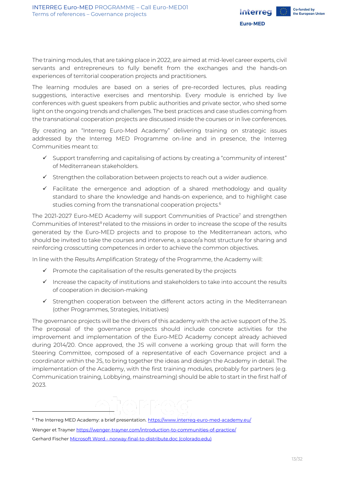

The training modules, that are taking place in 2022, are aimed at mid-level career experts, civil servants and entrepreneurs to fully benefit from the exchanges and the hands-on experiences of territorial cooperation projects and practitioners.

The learning modules are based on a series of pre-recorded lectures, plus reading suggestions, interactive exercises and mentorship. Every module is enriched by live conferences with guest speakers from public authorities and private sector, who shed some light on the ongoing trends and challenges. The best practices and case studies coming from the transnational cooperation projects are discussed inside the courses or in live conferences.

By creating an "Interreg Euro-Med Academy" delivering training on strategic issues addressed by the Interreg MED Programme on-line and in presence, the Interreg Communities meant to:

- $\checkmark$  Support transferring and capitalising of actions by creating a "community of interest" of Mediterranean stakeholders.
- $\checkmark$  Strengthen the collaboration between projects to reach out a wider audience.
- $\checkmark$  Facilitate the emergence and adoption of a shared methodology and quality standard to share the knowledge and hands-on experience, and to highlight case studies coming from the transnational cooperation projects.<sup>6</sup>

The 2021-2027 Euro-MED Academy will support Communities of Practice<sup>7</sup> and strengthen Communities of Interest<sup>8</sup> related to the missions in order to increase the scope of the results generated by the Euro-MED projects and to propose to the Mediterranean actors, who should be invited to take the courses and intervene, a space/a host structure for sharing and reinforcing crosscutting competences in order to achieve the common objectives.

In line with the Results Amplification Strategy of the Programme, the Academy will:

- $\checkmark$  Promote the capitalisation of the results generated by the projects
- ✓ Increase the capacity of institutions and stakeholders to take into account the results of cooperation in decision-making
- ✓ Strengthen cooperation between the different actors acting in the Mediterranean (other Programmes, Strategies, Initiatives)

The governance projects will be the drivers of this academy with the active support of the JS. The proposal of the governance projects should include concrete activities for the improvement and implementation of the Euro-MED Academy concept already achieved during 2014/20. Once approved, the JS will convene a working group that will form the Steering Committee, composed of a representative of each Governance project and a coordinator within the JS, to bring together the ideas and design the Academy in detail. The implementation of the Academy, with the first training modules, probably for partners (e.g. Communication training, Lobbying, mainstreaming) should be able to start in the first half of 2023.

<sup>&</sup>lt;sup>6</sup> The Interreg MED Academy: a brief presentation. <https://www.interreg-euro-med-academy.eu/> Wenger et Trayner <https://wenger-trayner.com/introduction-to-communities-of-practice/>

Gerhard Fischer Microsoft Word - [norway-final-to-distribute.doc \(colorado.edu\)](http://l3d.cs.colorado.edu/~gerhard/papers/iris24.pdf)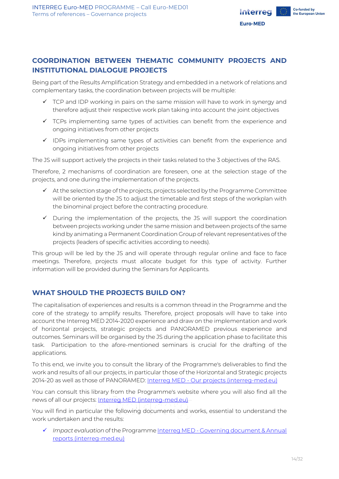

## <span id="page-13-0"></span>**COORDINATION BETWEEN THEMATIC COMMUNITY PROJECTS AND INSTITUTIONAL DIALOGUE PROJECTS**

Being part of the Results Amplification Strategy and embedded in a network of relations and complementary tasks, the coordination between projects will be multiple:

- $\checkmark$  TCP and IDP working in pairs on the same mission will have to work in synergy and therefore adjust their respective work plan taking into account the joint objectives
- $\checkmark$  TCPs implementing same types of activities can benefit from the experience and ongoing initiatives from other projects
- $\checkmark$  IDPs implementing same types of activities can benefit from the experience and ongoing initiatives from other projects

The JS will support actively the projects in their tasks related to the 3 objectives of the RAS.

Therefore, 2 mechanisms of coordination are foreseen, one at the selection stage of the projects, and one during the implementation of the projects.

- $\checkmark$  At the selection stage of the projects, projects selected by the Programme Committee will be oriented by the JS to adjust the timetable and first steps of the workplan with the binominal project before the contracting procedure.
- ✓ During the implementation of the projects, the JS will support the coordination between projects working under the same mission and between projects of the same kind by animating a Permanent Coordination Group of relevant representatives of the projects (leaders of specific activities according to needs).

This group will be led by the JS and will operate through regular online and face to face meetings. Therefore, projects must allocate budget for this type of activity. Further information will be provided during the Seminars for Applicants.

## <span id="page-13-1"></span>**WHAT SHOULD THE PROJECTS BUILD ON?**

The capitalisation of experiences and results is a common thread in the Programme and the core of the strategy to amplify results. Therefore, project proposals will have to take into account the Interreg MED 2014-2020 experience and draw on the implementation and work of horizontal projects, strategic projects and PANORAMED previous experience and outcomes. Seminars will be organised by the JS during the application phase to facilitate this task. Participation to the afore-mentioned seminars is crucial for the drafting of the applications.

To this end, we invite you to consult the library of the Programme's deliverables to find the work and results of all our projects, in particular those of the Horizontal and Strategic projects 2014-20 as well as those of PANORAMED: Interreg MED - [Our projects \(interreg-med.eu\)](https://interreg-med.eu/projects-results/our-projects/)

You can consult this library from the Programme's website where you will also find all the news of all our projects: **Interreg MED (interreg-med.eu)** 

You will find in particular the following documents and works, essential to understand the work undertaken and the results:

✓ *Impact evaluation* of the Programme Interreg MED - [Governing document & Annual](https://interreg-med.eu/documents-tools/governing-document-annual-reports/)  [reports \(interreg-med.eu\)](https://interreg-med.eu/documents-tools/governing-document-annual-reports/)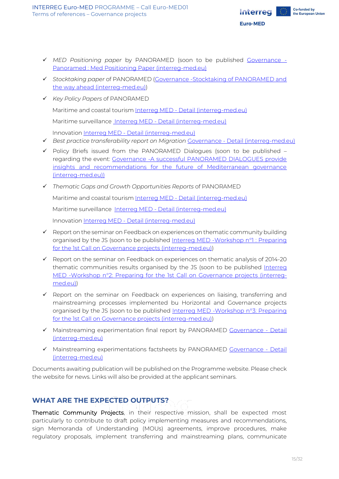

- ✓ *MED Positioning paper* by PANORAMED (soon to be published [Governance -](https://governance.interreg-med.eu/no-cache/fr/news-events-french/news-french/detail-french/actualites/panoramed-med-positioning-paper/) [Panoramed : Med Positioning Paper \(interreg-med.eu\)](https://governance.interreg-med.eu/no-cache/fr/news-events-french/news-french/detail-french/actualites/panoramed-med-positioning-paper/)
- ✓ *Stocktaking paper* of PANORAMED [\(Governance -Stocktaking of PANORAMED and](https://governance.interreg-med.eu/no-cache/news-events/news/detail/actualites/stocktaking-of-panoramed-and-the-way-ahead/)  [the way ahead \(interreg-med.eu\)\)](https://governance.interreg-med.eu/no-cache/news-events/news/detail/actualites/stocktaking-of-panoramed-and-the-way-ahead/)
- ✓ *Key Policy Papers* of PANORAMED

Maritime and coastal tourism Interreg MED - [Detail \(interreg-med.eu\)](https://interreg-med.eu/projects-results/our-project-results/detail/?tx_elibrary_pi1%5Blivrable%5D=11360&tx_elibrary_pi1%5Baction%5D=show&tx_elibrary_pi1%5Bcontroller%5D=Frontend%5CLivrable&cHash=b47ba207a1bb94ee4eaa8a8853f3112b)

Maritime surveillance Interreg MED - [Detail \(interreg-med.eu\)](https://interreg-med.eu/projects-results/our-project-results/detail/?tx_elibrary_pi1%5Blivrable%5D=11023&tx_elibrary_pi1%5Baction%5D=show&tx_elibrary_pi1%5Bcontroller%5D=Frontend%5CLivrable&cHash=5de905270d0bddaf1cc2e74c305c541d)

Innovation Interreg MED - [Detail \(interreg-med.eu\)](https://interreg-med.eu/projects-results/our-project-results/detail/?tx_elibrary_pi1%5Blivrable%5D=10524&tx_elibrary_pi1%5Baction%5D=show&tx_elibrary_pi1%5Bcontroller%5D=Frontend%5CLivrable&cHash=31b0eb9c01a7c22bca9f6a5cf07871df)

- ✓ *Best practice transferability report on Migration* Governance [Detail \(interreg-med.eu\)](https://governance.interreg-med.eu/what-we-achieve/deliverables-database/detail/?tx_elibrary_pi1%5Blivrable%5D=10525&tx_elibrary_pi1%5Baction%5D=show&tx_elibrary_pi1%5Bcontroller%5D=Frontend%5CLivrable&cHash=bbe879576d3f9900727309189b737970)
- ✓ Policy Briefs issued from the PANORAMED Dialogues (soon to be published regarding the event: [Governance -A successful PANORAMED DIALOGUES provide](https://governance.interreg-med.eu/no-cache/en/news-events/news/detail/actualites/a-successful-panoramed-dialogues-provide-insights-and-recommendations-for-the-future-of-mediterranea/)  [insights and recommendations for the future of Mediterranean governance](https://governance.interreg-med.eu/no-cache/en/news-events/news/detail/actualites/a-successful-panoramed-dialogues-provide-insights-and-recommendations-for-the-future-of-mediterranea/)  [\(interreg-med.eu\)\)](https://governance.interreg-med.eu/no-cache/en/news-events/news/detail/actualites/a-successful-panoramed-dialogues-provide-insights-and-recommendations-for-the-future-of-mediterranea/)
- ✓ *Thematic Gaps and Growth Opportunities Reports* of PANORAMED

Maritime and coastal tourism Interreg MED - Detail [\(interreg-med.eu\)](https://interreg-med.eu/projects-results/our-project-results/detail/?tx_elibrary_pi1%5Blivrable%5D=8529&tx_elibrary_pi1%5Baction%5D=show&tx_elibrary_pi1%5Bcontroller%5D=Frontend%5CLivrable&cHash=dca06d823eb0f849452b1e43dbfeb30f)

Maritime surveillance Interreg MED - [Detail \(interreg-med.eu\)](https://interreg-med.eu/projects-results/our-project-results/detail/?tx_elibrary_pi1%5Blivrable%5D=8530&tx_elibrary_pi1%5Baction%5D=show&tx_elibrary_pi1%5Bcontroller%5D=Frontend%5CLivrable&cHash=b31ab98a6a44602df0559a87bbc8424b)

Innovation Interreg MED - [Detail \(interreg-med.eu\)](https://interreg-med.eu/projects-results/our-project-results/detail/?tx_elibrary_pi1%5Blivrable%5D=9625&tx_elibrary_pi1%5Baction%5D=show&tx_elibrary_pi1%5Bcontroller%5D=Frontend%5CLivrable&cHash=c3aff33f422efc31876fe61c616bb2a4)

- ✓ Report on the seminar on Feedback on experiences on thematic community building organised by the JS (soon to be published [Interreg MED -Workshop n°1 : Preparing](https://interreg-med.eu/no-cache/news-events/events/detail/actualites/workshop-n1-preparing-for-the-1st-call-on-governance-projects/)  [for the 1st Call on Governance projects \(interreg-med.eu\)\)](https://interreg-med.eu/no-cache/news-events/events/detail/actualites/workshop-n1-preparing-for-the-1st-call-on-governance-projects/)
- $\checkmark$  Report on the seminar on Feedback on experiences on thematic analysis of 2014-20 thematic communities results organised by the JS (soon to be published Interreq [MED -Workshop n°2: Preparing for the 1st Call on Governance projects \(interreg](https://interreg-med.eu/no-cache/news-events/events/detail/actualites/workshop-n2-preparing-for-the-1st-call-on-governance-projects/)[med.eu\)\)](https://interreg-med.eu/no-cache/news-events/events/detail/actualites/workshop-n2-preparing-for-the-1st-call-on-governance-projects/)
- $\checkmark$  Report on the seminar on Feedback on experiences on liaising, transferring and mainstreaming processes implemented bu Horizontal and Governance projects organised by the JS (soon to be published Interreg MED - Workshop n°3: Preparing [for the 1st Call on Governance projects \(interreg-med.eu\)\)](https://interreg-med.eu/no-cache/news-events/events/detail/actualites/workshop-n3-preparing-for-the-1st-call-on-governance-projects/)
- ✓ Mainstreaming experimentation final report by PANORAMED [Governance -](https://governance.interreg-med.eu/what-we-achieve/deliverables-database/detail/?tx_elibrary_pi1%5Blivrable%5D=10521&tx_elibrary_pi1%5Baction%5D=show&tx_elibrary_pi1%5Bcontroller%5D=Frontend%5CLivrable&cHash=16613c7ab9b5120c3d9f018accc22a26) Detail [\(interreg-med.eu\)](https://governance.interreg-med.eu/what-we-achieve/deliverables-database/detail/?tx_elibrary_pi1%5Blivrable%5D=10521&tx_elibrary_pi1%5Baction%5D=show&tx_elibrary_pi1%5Bcontroller%5D=Frontend%5CLivrable&cHash=16613c7ab9b5120c3d9f018accc22a26)
- ✓ Mainstreaming experimentations factsheets by PANORAMED [Governance -](https://governance.interreg-med.eu/what-we-achieve/deliverables-database/detail/?tx_elibrary_pi1%5Blivrable%5D=10523&tx_elibrary_pi1%5Baction%5D=show&tx_elibrary_pi1%5Bcontroller%5D=Frontend%5CLivrable&cHash=d21e4a533d35e8f175a8bb491082233d) Detail [\(interreg-med.eu\)](https://governance.interreg-med.eu/what-we-achieve/deliverables-database/detail/?tx_elibrary_pi1%5Blivrable%5D=10523&tx_elibrary_pi1%5Baction%5D=show&tx_elibrary_pi1%5Bcontroller%5D=Frontend%5CLivrable&cHash=d21e4a533d35e8f175a8bb491082233d)

Documents awaiting publication will be published on the Programme website. Please check the website for news. Links will also be provided at the applicant seminars.

## <span id="page-14-0"></span>**WHAT ARE THE EXPECTED OUTPUTS?**

Thematic Community Projects, in their respective mission, shall be expected most particularly to contribute to draft policy implementing measures and recommendations, sign Memoranda of Understanding (MOUs) agreements, improve procedures, make regulatory proposals, implement transferring and mainstreaming plans, communicate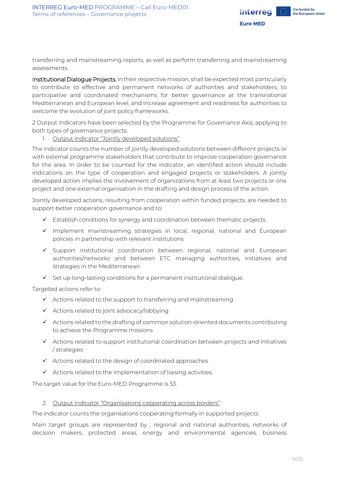

transferring and mainstreaming reports, as well as perform transferring and mainstreaming assessments.

Institutional Dialogue Projects, in their respective mission, shall be expected most particularly to contribute to effective and permanent networks of authorities and stakeholders, to participative and coordinated mechanisms for better governance at the transnational Mediterranean and European level, and increase agreement and readiness for authorities to welcome the evolution of joint policy frameworks.

2 Output indicators have been selected by the Programme for Governance Axis, applying to both types of governance projects:

1. Output indicator "Jointly developed solutions"

The indicator counts the number of jointly developed solutions between different projects or with external programme stakeholders that contribute to improve cooperation governance for the area. In order to be counted for the indicator, an identified action should include indications on the type of cooperation and engaged projects or stakeholders. A jointly developed action implies the involvement of organizations from at least two projects or one project and one external organisation in the drafting and design process of the action.

Jointly developed actions, resulting from cooperation within funded projects, are needed to support better cooperation governance and to:

- ✓ Establish conditions for synergy and coordination between thematic projects
- ✓ Implement mainstreaming strategies in local, regional, national and European policies in partnership with relevant institutions
- ✓ Support institutional coordination between regional, national and European authorities/networks and between ETC managing authorities, initiatives and strategies in the Mediterranean
- $\checkmark$  Set up long-lasting conditions for a permanent institutional dialogue.

Targeted actions refer to:

- ✓ Actions related to the support to transferring and mainstreaming
- ✓ Actions related to joint advocacy/lobbying
- $\checkmark$  Actions related to the drafting of common solution-oriented documents contributing to achieve the Programme missions
- $\checkmark$  Actions related to support institutional coordination between projects and initiatives / strategies
- ✓ Actions related to the design of coordinated approaches
- ✓ Actions related to the implementation of liaising activities.

The target value for the Euro-MED Programme is 53.

#### 2. Output indicator "Organisations cooperating across borders"

The indicator counts the organisations cooperating formally in supported projects.

Main target groups are represented by : regional and national authorities, networks of decision makers, protected areas, energy and environmental agencies, business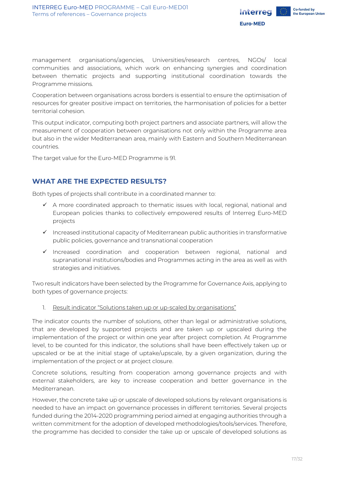

management organisations/agencies, Universities/research centres, NGOs/ local communities and associations, which work on enhancing synergies and coordination between thematic projects and supporting institutional coordination towards the Programme missions.

Cooperation between organisations across borders is essential to ensure the optimisation of resources for greater positive impact on territories, the harmonisation of policies for a better territorial cohesion.

This output indicator, computing both project partners and associate partners, will allow the measurement of cooperation between organisations not only within the Programme area but also in the wider Mediterranean area, mainly with Eastern and Southern Mediterranean countries.

The target value for the Euro-MED Programme is 91.

## <span id="page-16-0"></span>**WHAT ARE THE EXPECTED RESULTS?**

Both types of projects shall contribute in a coordinated manner to:

- $\checkmark$  A more coordinated approach to thematic issues with local, regional, national and European policies thanks to collectively empowered results of Interreg Euro-MED projects
- ✓ Increased institutional capacity of Mediterranean public authorities in transformative public policies, governance and transnational cooperation
- ✓ Increased coordination and cooperation between regional, national and supranational institutions/bodies and Programmes acting in the area as well as with strategies and initiatives.

Two result indicators have been selected by the Programme for Governance Axis, applying to both types of governance projects:

1. Result indicator "Solutions taken up or up-scaled by organisations"

The indicator counts the number of solutions, other than legal or administrative solutions, that are developed by supported projects and are taken up or upscaled during the implementation of the project or within one year after project completion. At Programme level, to be counted for this indicator, the solutions shall have been effectively taken up or upscaled or be at the initial stage of uptake/upscale, by a given organization, during the implementation of the project or at project closure.

Concrete solutions, resulting from cooperation among governance projects and with external stakeholders, are key to increase cooperation and better governance in the Mediterranean.

However, the concrete take up or upscale of developed solutions by relevant organisations is needed to have an impact on governance processes in different territories. Several projects funded during the 2014-2020 programming period aimed at engaging authorities through a written commitment for the adoption of developed methodologies/tools/services. Therefore, the programme has decided to consider the take up or upscale of developed solutions as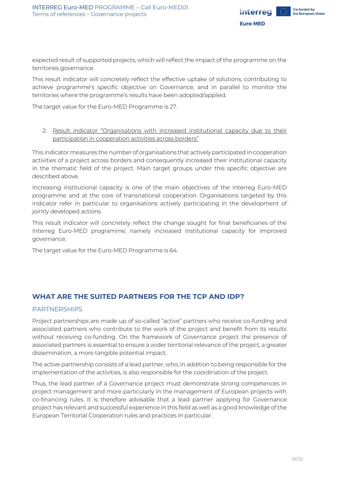

expected result of supported projects, which will reflect the impact of the programme on the territories governance.

This result indicator will concretely reflect the effective uptake of solutions, contributing to achieve programme's specific objective on Governance, and in parallel to monitor the territories where the programme's results have been adopted/applied.

The target value for the Euro-MED Programme is 27.

2. Result indicator "Organisations with increased institutional capacity due to their participation in cooperation activities across borders"

This indicator measures the number of organisations that actively participated in cooperation activities of a project across borders and consequently increased their institutional capacity in the thematic field of the project. Main target groups under this specific objective are described above.

Increasing institutional capacity is one of the main objectives of the Interreg Euro-MED programme and at the core of transnational cooperation. Organisations targeted by this indicator refer in particular to organisations actively participating in the development of jointly developed actions

This result indicator will concretely reflect the change sought for final beneficiaries of the Interreg Euro-MED programme, namely increased institutional capacity for improved governance.

The target value for the Euro-MED Programme is 64.

## <span id="page-17-0"></span>**WHAT ARE THE SUITED PARTNERS FOR THE TCP AND IDP?**

#### <span id="page-17-1"></span>PARTNERSHIPS

Project partnerships are made up of so-called "active" partners who receive co-funding and associated partners who contribute to the work of the project and benefit from its results without receiving co-funding. On the framework of Governance project the presence of associated partners is essential to ensure a wider territorial relevance of the project, a greater dissemination, a more tangible potential impact.

The active partnership consists of a lead partner, who, in addition to being responsible for the implementation of the activities, is also responsible for the coordination of the project.

Thus, the lead partner of a Governance project must demonstrate strong competences in project management and more particularly in the management of European projects with co-financing rules. It is therefore advisable that a lead partner applying for Governance project has relevant and successful experience in this field as well as a good knowledge of the European Territorial Cooperation rules and practices in particular.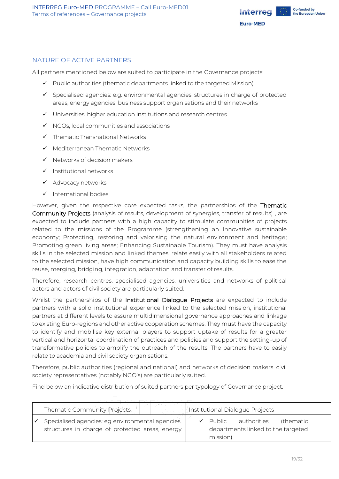

## <span id="page-18-0"></span>NATURE OF ACTIVE PARTNERS

All partners mentioned below are suited to participate in the Governance projects:

- ✓ Public authorities (thematic departments linked to the targeted Mission)
- $\checkmark$  Specialised agencies: e.g. environmental agencies, structures in charge of protected areas, energy agencies, business support organisations and their networks
- ✓ Universities, higher education institutions and research centres
- $\checkmark$  NGOs, local communities and associations
- ✓ Thematic Transnational Networks
- ✓ Mediterranean Thematic Networks
- $\checkmark$  Networks of decision makers
- ✓ Institutional networks
- ✓ Advocacy networks
- ✓ International bodies

However, given the respective core expected tasks, the partnerships of the Thematic Community Projects (analysis of results, development of synergies, transfer of results) , are expected to include partners with a high capacity to stimulate communities of projects related to the missions of the Programme (strengthening an Innovative sustainable economy; Protecting, restoring and valorising the natural environment and heritage; Promoting green living areas; Enhancing Sustainable Tourism). They must have analysis skills in the selected mission and linked themes, relate easily with all stakeholders related to the selected mission, have high communication and capacity building skills to ease the reuse, merging, bridging, integration, adaptation and transfer of results.

Therefore, research centres, specialised agencies, universities and networks of political actors and actors of civil society are particularly suited.

Whilst the partnerships of the Institutional Dialogue Projects are expected to include partners with a solid institutional experience linked to the selected mission, institutional partners at different levels to assure multidimensional governance approaches and linkage to existing Euro-regions and other active cooperation schemes. They must have the capacity to identify and mobilise key external players to support uptake of results for a greater vertical and horizontal coordination of practices and policies and support the setting-up of transformative policies to amplify the outreach of the results. The partners have to easily relate to academia and civil society organisations.

Therefore, public authorities (regional and national) and networks of decision makers, civil society representatives (notably NGO's) are particularly suited.

Find below an indicative distribution of suited partners per typology of Governance project.

| Thematic Community Projects                                                                         | Institutional Dialogue Projects |                    |                                                   |           |  |
|-----------------------------------------------------------------------------------------------------|---------------------------------|--------------------|---------------------------------------------------|-----------|--|
| Specialised agencies: eg environmental agencies,<br>structures in charge of protected areas, energy |                                 | Public<br>mission) | authorities<br>departments linked to the targeted | (thematic |  |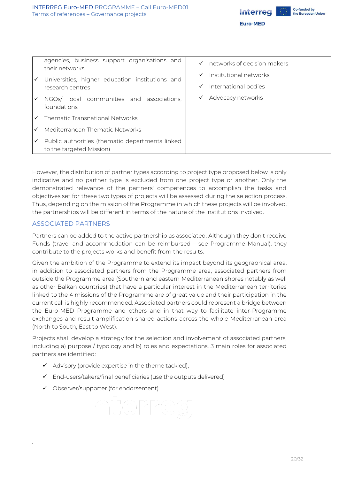

| ✓            | agencies, business support organisations and<br>their networks<br>Universities, higher education institutions and | networks of decision makers<br>$\checkmark$<br>Institutional networks<br>$\checkmark$ |
|--------------|-------------------------------------------------------------------------------------------------------------------|---------------------------------------------------------------------------------------|
|              | research centres                                                                                                  | International bodies<br>$\checkmark$                                                  |
| ✓            | NGOs/ local communities and associations,<br>foundations                                                          | Advocacy networks<br>$\checkmark$                                                     |
| $\checkmark$ | Thematic Transnational Networks                                                                                   |                                                                                       |
| ✓            | Mediterranean Thematic Networks                                                                                   |                                                                                       |
| ✓            | Public authorities (thematic departments linked<br>to the targeted Mission)                                       |                                                                                       |

However, the distribution of partner types according to project type proposed below is only indicative and no partner type is excluded from one project type or another. Only the demonstrated relevance of the partners' competences to accomplish the tasks and objectives set for these two types of projects will be assessed during the selection process. Thus, depending on the mission of the Programme in which these projects will be involved, the partnerships will be different in terms of the nature of the institutions involved.

### <span id="page-19-0"></span>ASSOCIATED PARTNERS

Partners can be added to the active partnership as associated. Although they don't receive Funds (travel and accommodation can be reimbursed – see Programme Manual), they contribute to the projects works and benefit from the results.

Given the ambition of the Programme to extend its impact beyond its geographical area, in addition to associated partners from the Programme area, associated partners from outside the Programme area (Southern and eastern Mediterranean shores notably as well as other Balkan countries) that have a particular interest in the Mediterranean territories linked to the 4 missions of the Programme are of great value and their participation in the current call is highly recommended. Associated partners could represent a bridge between the Euro-MED Programme and others and in that way to facilitate inter-Programme exchanges and result amplification shared actions across the whole Mediterranean area (North to South, East to West).

Projects shall develop a strategy for the selection and involvement of associated partners, including a) purpose / typology and b) roles and expectations. 3 main roles for associated partners are identified:

- $\checkmark$  Advisory (provide expertise in the theme tackled),
- $\checkmark$  End-users/takers/final beneficiaries (use the outputs delivered)
- ✓ Observer/supporter (for endorsement)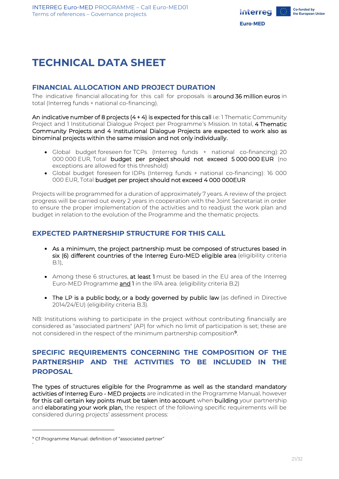

## <span id="page-20-0"></span>**TECHNICAL DATA SHEET**

## <span id="page-20-1"></span>**FINANCIAL ALLOCATION AND PROJECT DURATION**

The indicative financial allocating for this call for proposals is around 36 million euros in total (Interreg funds + national co-financing).

An indicative number of 8 projects  $(4 + 4)$  is expected for this call i.e: 1 Thematic Community Project and 1 Institutional Dialogue Project per Programme's Mission. In total, 4 Thematic Community Projects and 4 Institutional Dialogue Projects are expected to work also as binominal projects within the same mission and not only individually.

- Global budget foreseen for TCPs (Interreg funds + national co-financing): 20 000 000 EUR, Total budget per project should not exceed 5 000 000 EUR (no exceptions are allowed for this threshold)
- Global budget foreseen for IDPs (Interreg funds + national co-financing): 16 000 000 EUR, Total budget per project should not exceed 4 000 000EUR

Projects will be programmed for a duration of approximately 7 years. A review of the project progress will be carried out every 2 years in cooperation with the Joint Secretariat in order to ensure the proper implementation of the activities and to readjust the work plan and budget in relation to the evolution of the Programme and the thematic projects.

## <span id="page-20-2"></span>**EXPECTED PARTNERSHIP STRUCTURE FOR THIS CALL**

- As a minimum, the project partnership must be composed of structures based in six (6) different countries of the Interreg Euro-MED eligible area (eligibility criteria B.1).
- Among these 6 structures, at least 1 must be based in the EU area of the Interreg Euro-MED Programme and 1 in the IPA area. (eligibility criteria B.2)
- The LP is a public body, or a body governed by public law (as defined in Directive 2014/24/EU) (eligibility criteria B.3).

NB: Institutions wishing to participate in the project without contributing financially are considered as "associated partners" (AP) for which no limit of participation is set; these are not considered in the respect of the minimum partnership composition<sup>9</sup>.

## <span id="page-20-3"></span>**SPECIFIC REQUIREMENTS CONCERNING THE COMPOSITION OF THE PARTNERSHIP AND THE ACTIVITIES TO BE INCLUDED IN THE PROPOSAL**

The types of structures eligible for the Programme as well as the standard mandatory activities of Interreg Euro - MED projects are indicated in the Programme Manual, however for this call certain key points must be taken into account when building your partnership and elaborating your work plan, the respect of the following specific requirements will be considered during projects' assessment process:

<sup>&</sup>lt;sup>9</sup> Cf Programme Manual: definition of "associated partner"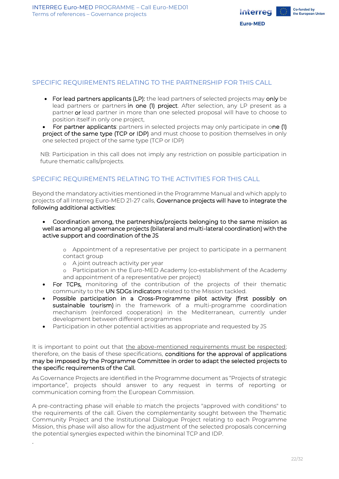

### <span id="page-21-0"></span>SPECIFIC REQUIREMENTS RELATING TO THE PARTNERSHIP FOR THIS CALL

- For lead partners applicants (LP): the lead partners of selected projects may only be lead partners or partners in one (1) project. After selection, any LP present as a partner or lead partner in more than one selected proposal will have to choose to position itself in only one project,
- For partner applicants: partners in selected projects may only participate in one (1) project of the same type (TCP or IDP) and must choose to position themselves in only one selected project of the same type (TCP or IDP)

NB: Participation in this call does not imply any restriction on possible participation in future thematic calls/projects.

## <span id="page-21-1"></span>SPECIFIC REQUIREMENTS RELATING TO THE ACTIVITIES FOR THIS CALL

Beyond the mandatory activities mentioned in the Programme Manual and which apply to projects of all Interreg Euro-MED 21-27 calls, Governance projects will have to integrate the following additional activities:

• Coordination among, the partnerships/projects belonging to the same mission as well as among all governance projects (bilateral and multi-lateral coordination) with the active support and coordination of the JS

o Appointment of a representative per project to participate in a permanent contact group

o A joint outreach activity per year

22

o Participation in the Euro-MED Academy (co-establishment of the Academy and appointment of a representative per project)

- For TCPs, monitoring of the contribution of the projects of their thematic community to the UN SDGs indicators related to the Mission tackled.
- Possible participation in a Cross-Programme pilot activity (first possibly on sustainable tourism) in the framework of a multi-programme coordination mechanism (reinforced cooperation) in the Mediterranean, currently under development between different programmes
- Participation in other potential activities as appropriate and requested by JS

It is important to point out that the above-mentioned requirements must be respected; therefore, on the basis of these specifications, conditions for the approval of applications may be imposed by the Programme Committee in order to adapt the selected projects to the specific requirements of the Call.

As Governance Projects are identified in the Programme document as "Projects of strategic importance", projects should answer to any request in terms of reporting or communication coming from the European Commission.

A pre-contracting phase will enable to match the projects "approved with conditions" to the requirements of the call. Given the complementarity sought between the Thematic Community Project and the Institutional Dialogue Project relating to each Programme Mission, this phase will also allow for the adjustment of the selected proposals concerning the potential synergies expected within the binominal TCP and IDP.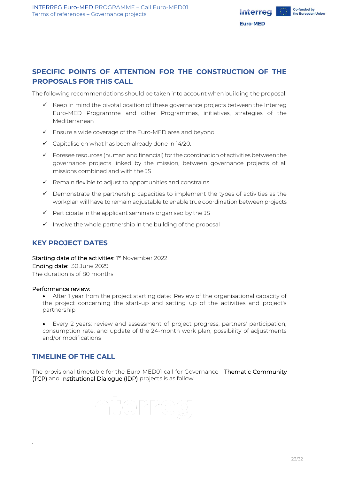

## <span id="page-22-0"></span>**SPECIFIC POINTS OF ATTENTION FOR THE CONSTRUCTION OF THE PROPOSALS FOR THIS CALL**

The following recommendations should be taken into account when building the proposal:

- $\checkmark$  Keep in mind the pivotal position of these governance projects between the Interreg Euro-MED Programme and other Programmes, initiatives, strategies of the Mediterranean
- ✓ Ensure a wide coverage of the Euro-MED area and beyond
- $\checkmark$  Capitalise on what has been already done in 14/20.
- $\checkmark$  Foresee resources (human and financial) for the coordination of activities between the governance projects linked by the mission, between governance projects of all missions combined and with the JS
- $\checkmark$  Remain flexible to adjust to opportunities and constrains
- ✓ Demonstrate the partnership capacities to implement the types of activities as the workplan will have to remain adjustable to enable true coordination between projects
- $\checkmark$  Participate in the applicant seminars organised by the JS
- $\checkmark$  Involve the whole partnership in the building of the proposal

### <span id="page-22-1"></span>**KEY PROJECT DATES**

Starting date of the activities: 1st November 2022 Ending date: 30 June 2029 The duration is of 80 months

#### Performance review:

• After 1 year from the project starting date: Review of the organisational capacity of the project concerning the start-up and setting up of the activities and project's partnership

• Every 2 years: review and assessment of project progress, partners' participation, consumption rate, and update of the 24-month work plan; possibility of adjustments and/or modifications

## <span id="page-22-2"></span>**TIMELINE OF THE CALL**

23

The provisional timetable for the Euro-MED01 call for Governance - Thematic Community (TCP) and Institutional Dialogue (IDP) projects is as follow: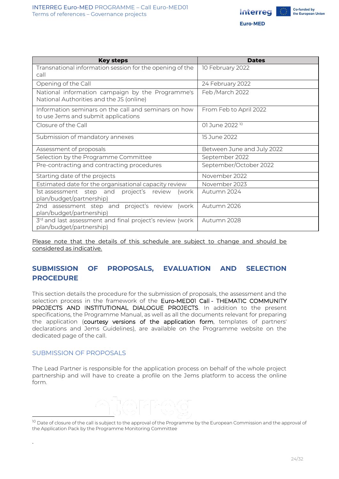

| <b>Key steps</b>                                                                             | <b>Dates</b>               |
|----------------------------------------------------------------------------------------------|----------------------------|
| Transnational information session for the opening of the<br>call                             | 10 February 2022           |
| Opening of the Call                                                                          | 24 February 2022           |
| National information campaign by the Programme's<br>National Authorities and the JS (online) | Feb/March 2022             |
| Information seminars on the call and seminars on how<br>to use Jems and submit applications  | From Feb to April 2022     |
| Closure of the Call                                                                          | 01 June 2022 <sup>10</sup> |
| Submission of mandatory annexes                                                              | 15 June 2022               |
| Assessment of proposals                                                                      | Between June and July 2022 |
| Selection by the Programme Committee                                                         | September 2022             |
| Pre-contracting and contracting procedures                                                   | September/October 2022     |
| Starting date of the projects                                                                | November 2022              |
| Estimated date for the organisational capacity review                                        | November 2023              |
| 1st assessment step and<br>project's review<br>(work<br>plan/budget/partnership)             | Autumn 2024                |
| 2nd assessment step and project's review<br>(work<br>plan/budget/partnership)                | Autumn 2026                |
| 3rd and last assessment and final project's review (work<br>plan/budget/partnership)         | Autumn 2028                |

Please note that the details of this schedule are subject to change and should be considered as indicative.

## <span id="page-23-0"></span>**SUBMISSION OF PROPOSALS, EVALUATION AND SELECTION PROCEDURE**

This section details the procedure for the submission of proposals, the assessment and the selection process in the framework of the Euro-MED01 Call - THEMATIC COMMUNITY PROJECTS AND INSTITUTIONAL DIALOGUE PROJECTS. In addition to the present specifications, the Programme Manual, as well as all the documents relevant for preparing the application (courtesy versions of the application form, templates of partners' declarations and Jems Guidelines), are available on the Programme website on the dedicated page of the call.

#### <span id="page-23-1"></span>SUBMISSION OF PROPOSALS

24

The Lead Partner is responsible for the application process on behalf of the whole project partnership and will have to create a profile on the Jems platform to access the online form.

<sup>&</sup>lt;sup>10</sup> Date of closure of the call is subject to the approval of the Programme by the European Commission and the approval of the Application Pack by the Programme Monitoring Committee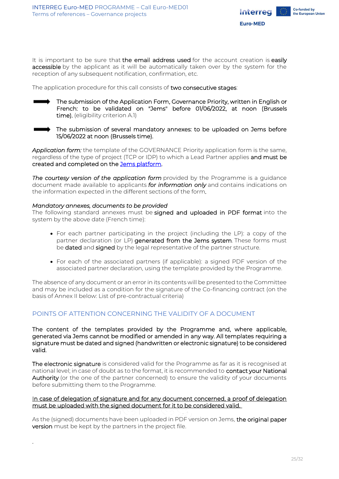

It is important to be sure that the email address used for the account creation is easily accessible by the applicant as it will be automatically taken over by the system for the reception of any subsequent notification, confirmation, etc.

The application procedure for this call consists of two consecutive stages:

The submission of the Application Form, Governance Priority, written in English or French: to be validated on "Jems" before 01/06/2022, at noon (Brussels time). (eligibility criterion A.1)



25

The submission of several mandatory annexes: to be uploaded on Jems before 15/06/2022 at noon (Brussels time).

*Application form:* the template of the GOVERNANCE Priority application form is the same, regardless of the type of project (TCP or IDP) to which a Lead Partner appliesand must be created and completed on the [Jems platform.](https://jems.interreg-euro-med.eu/)

**The courtesy version of the application form** provided by the Programme is a quidance document made available to applicants *for information only* and contains indications on the information expected in the different sections of the form*.*

#### *Mandatory annexes, documents to be provided*

The following standard annexes must be signed and uploaded in PDF format into the system by the above date (French time):

- For each partner participating in the project (including the LP): a copy of the partner declaration (or LP) generated from the Jems system. These forms must be **dated** and **signed** by the legal representative of the partner structure.
- For each of the associated partners (if applicable): a signed PDF version of the associated partner declaration, using the template provided by the Programme.

The absence of any document or an error in its contents will be presented to the Committee and may be included as a condition for the signature of the Co-financing contract (on the basis of Annex II below: List of pre-contractual criteria)

## <span id="page-24-0"></span>POINTS OF ATTENTION CONCERNING THE VALIDITY OF A DOCUMENT

The content of the templates provided by the Programme and, where applicable, generated via Jems cannot be modified or amended in any way. All templates requiring a signature must be dated and signed (handwritten or electronic signature) to be considered valid.

The electronic signature is considered valid for the Programme as far as it is recognised at national level; in case of doubt as to the format, it is recommended to contact your National Authority (or the one of the partner concerned) to ensure the validity of your documents before submitting them to the Programme.

#### In case of delegation of signature and for any document concerned, a proof of delegation must be uploaded with the signed document for it to be considered valid.

As the (signed) documents have been uploaded in PDF version on Jems, the original paper version must be kept by the partners in the project file.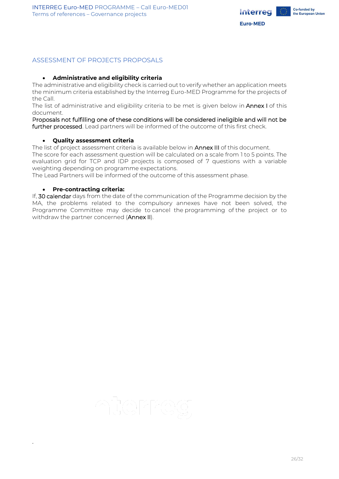

### <span id="page-25-0"></span>ASSESSMENT OF PROJECTS PROPOSALS

#### • **Administrative and eligibility criteria**

The administrative and eligibility check is carried out to verify whether an application meets the minimum criteria established by the Interreg Euro-MED Programme for the projects of the Call.

The list of administrative and eligibility criteria to be met is given below in Annex I of this document.

Proposals not fulfilling one of these conditions will be considered ineligible and will not be further processed. Lead partners will be informed of the outcome of this first check.

#### • **Quality assessment criteria**

The list of project assessment criteria is available below in **Annex III** of this document.

The score for each assessment question will be calculated on a scale from 1 to 5 points. The evaluation grid for TCP and IDP projects is composed of 7 questions with a variable weighting depending on programme expectations.

The Lead Partners will be informed of the outcome of this assessment phase.

#### • **Pre-contracting criteria:**

26

If, 30 calendar days from the date of the communication of the Programme decision by the MA, the problems related to the compulsory annexes have not been solved, the Programme Committee may decide to cancel the programming of the project or to withdraw the partner concerned (Annex II).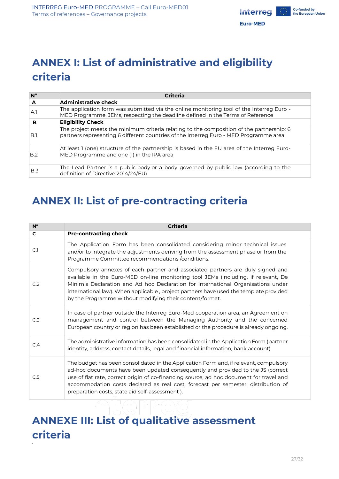

## <span id="page-26-0"></span>**ANNEX I: List of administrative and eligibility criteria**

| $N^{\circ}$    | <b>Criteria</b>                                                                                                                                                                   |
|----------------|-----------------------------------------------------------------------------------------------------------------------------------------------------------------------------------|
| A              | <b>Administrative check</b>                                                                                                                                                       |
| A <sub>1</sub> | The application form was submitted via the online monitoring tool of the Interreg Euro -<br>MED Programme, JEMs, respecting the deadline defined in the Terms of Reference        |
| в              | <b>Eligibility Check</b>                                                                                                                                                          |
| B.1            | The project meets the minimum criteria relating to the composition of the partnership: 6<br>partners representing 6 different countries of the Interreg Euro - MED Programme area |
| B.2            | At least 1 (one) structure of the partnership is based in the EU area of the Interreg Euro-<br>MED Programme and one (1) in the IPA area                                          |
| B.3            | The Lead Partner is a public body or a body governed by public law (according to the<br>definition of Directive 2014/24/EU)                                                       |

## <span id="page-26-1"></span>**ANNEX II: List of pre-contracting criteria**

| $N^{\circ}$  | <b>Criteria</b>                                                                                                                                                                                                                                                                                                                                                                                               |
|--------------|---------------------------------------------------------------------------------------------------------------------------------------------------------------------------------------------------------------------------------------------------------------------------------------------------------------------------------------------------------------------------------------------------------------|
| $\mathbf{C}$ | <b>Pre-contracting check</b>                                                                                                                                                                                                                                                                                                                                                                                  |
| C.1          | The Application Form has been consolidated considering minor technical issues<br>and/or to integrate the adjustments deriving from the assessment phase or from the<br>Programme Committee recommendations / conditions.                                                                                                                                                                                      |
| C.2          | Compulsory annexes of each partner and associated partners are duly signed and<br>available in the Euro-MED on-line monitoring tool JEMs (including, if relevant, De<br>Minimis Declaration and Ad hoc Declaration for International Organisations under<br>international law). When applicable, project partners have used the template provided<br>by the Programme without modifying their content/format. |
| C.3          | In case of partner outside the Interreg Euro-Med cooperation area, an Agreement on<br>management and control between the Managing Authority and the concerned<br>European country or region has been established or the procedure is already ongoing.                                                                                                                                                         |
| C.4          | The administrative information has been consolidated in the Application Form (partner<br>identity, address, contact details, legal and financial information, bank account)                                                                                                                                                                                                                                   |
| C.5          | The budget has been consolidated in the Application Form and, if relevant, compulsory<br>ad-hoc documents have been updated consequently and provided to the JS (correct<br>use of flat rate, correct origin of co-financing source, ad hoc document for travel and<br>accommodation costs declared as real cost, forecast per semester, distribution of<br>preparation costs, state aid self-assessment).    |

## <span id="page-26-2"></span>**ANNEXE III: List of qualitative assessment criteria**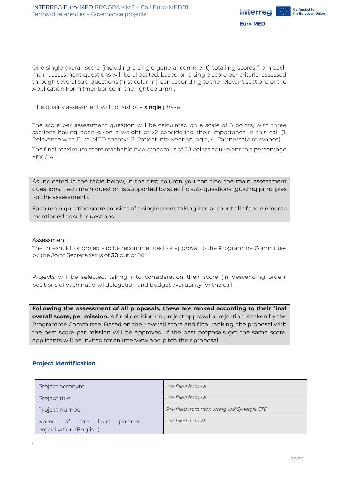

One single overall score (including a single general comment) totalling scores from each main assessment questions will be allocated, based on a single score per criteria, assessed through several sub-questions (first column), corresponding to the relevant sections of the Application Form (mentioned in the right column).

The quality assessment will consist of a **single** phase.

The score per assessment question will be calculated on a scale of 5 points, with three sections having been given a weight of x2 considering their importance in this call (1. Relevance with Euro-MED context, 3. Project intervention logic, 4. Partnership relevance).

The final maximum score reachable by a proposal is of 50 points equivalent to a percentage of 100%.

As indicated in the table below, in the first column you can find the main assessment questions. Each main question is supported by specific sub-questions (guiding principles for the assessment).

Each main question score consists of a single score, taking into account all of the elements mentioned as sub-questions.

#### Assessment:

The threshold for projects to be recommended for approval to the Programme Committee by the Joint Secretariat is of 30 out of 50.

Projects will be selected, taking into consideration their score (in descending order), positions of each national delegation and budget availability for the call.

**Following the assessment of all proposals, these are ranked according to their final overall score, per mission.** A final decision on project approval or rejection is taken by the Programme Committee. Based on their overall score and final ranking, the proposal with the best score per mission will be approved. If the best proposals get the same score, applicants will be invited for an interview and pitch their proposal.

#### **Project identification**

| Project acronym                                          | Pre-filled from AF                           |  |
|----------------------------------------------------------|----------------------------------------------|--|
| Project title                                            | Pre-filled from AF                           |  |
| Project number                                           | Pre-filled from monitoring tool Synergie CTE |  |
| Name of the<br>lead<br>partner<br>organisation (English) | Pre-filled from AF                           |  |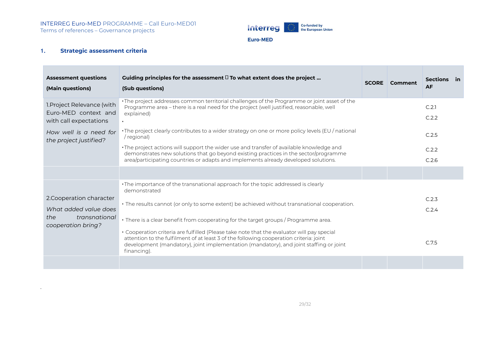

#### **Euro-MED**

### **1. Strategic assessment criteria**

| <b>Assessment questions</b><br>(Main questions)                                                 | Guiding principles for the assessment $\Box$ To what extent does the project<br>(Sub questions)                                                                                                                                                                                                                                                                                                                                                                                                                                                                                          | <b>SCORE</b> | <b>Comment</b> | Sections in<br><b>AF</b> |  |
|-------------------------------------------------------------------------------------------------|------------------------------------------------------------------------------------------------------------------------------------------------------------------------------------------------------------------------------------------------------------------------------------------------------------------------------------------------------------------------------------------------------------------------------------------------------------------------------------------------------------------------------------------------------------------------------------------|--------------|----------------|--------------------------|--|
| 1. Project Relevance (with<br>Euro-MED context and<br>with call expectations                    | · The project addresses common territorial challenges of the Programme or joint asset of the<br>Programme area - there is a real need for the project (well justified, reasonable, well<br>explained)                                                                                                                                                                                                                                                                                                                                                                                    |              |                | C.2.1<br>C.2.2           |  |
| How well is a need for<br>the project justified?                                                | · The project clearly contributes to a wider strategy on one or more policy levels (EU / national<br>/ regional)<br>• The project actions will support the wider use and transfer of available knowledge and<br>demonstrates new solutions that go beyond existing practices in the sector/programme<br>area/participating countries or adapts and implements already developed solutions.                                                                                                                                                                                               |              |                | C.2.5<br>C.2.2<br>C.2.6  |  |
|                                                                                                 |                                                                                                                                                                                                                                                                                                                                                                                                                                                                                                                                                                                          |              |                |                          |  |
| 2. Cooperation character<br>What added value does<br>the<br>transnational<br>cooperation bring? | •The importance of the transnational approach for the topic addressed is clearly<br>demonstrated<br>· The results cannot (or only to some extent) be achieved without transnational cooperation.<br>· There is a clear benefit from cooperating for the target groups / Programme area.<br>• Cooperation criteria are fulfilled (Please take note that the evaluator will pay special<br>attention to the fulfilment of at least 3 of the following cooperation criteria: joint<br>development (mandatory), joint implementation (mandatory), and joint staffing or joint<br>financing). |              |                | C.2.3<br>C.2.4<br>C.7.5  |  |
|                                                                                                 |                                                                                                                                                                                                                                                                                                                                                                                                                                                                                                                                                                                          |              |                |                          |  |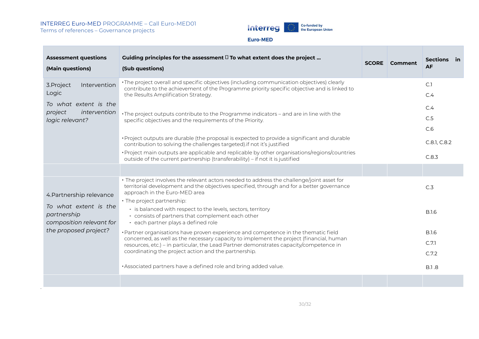#### INTERREG Euro-MED PROGRAMME – Call Euro-MED01 Terms of references – Governance projects

30



#### Euro-MED

| <b>Assessment questions</b><br>(Main questions)                                                                       | Guiding principles for the assessment $\Box$ To what extent does the project<br>(Sub questions)                                                                                                                                                                                                                                                          | <b>SCORE</b> Comment | Sections in<br><b>AF</b> |
|-----------------------------------------------------------------------------------------------------------------------|----------------------------------------------------------------------------------------------------------------------------------------------------------------------------------------------------------------------------------------------------------------------------------------------------------------------------------------------------------|----------------------|--------------------------|
| Intervention<br>3. Project<br>Logic                                                                                   | · The project overall and specific objectives (including communication objectives) clearly<br>contribute to the achievement of the Programme priority specific objective and is linked to<br>the Results Amplification Strategy.                                                                                                                         |                      | C.1<br>C.4               |
| To what extent is the<br>project<br>intervention<br>logic relevant?                                                   | · The project outputs contribute to the Programme indicators - and are in line with the<br>specific objectives and the requirements of the Priority.                                                                                                                                                                                                     |                      | C.4<br>C.5<br>C.6        |
|                                                                                                                       | · Project outputs are durable (the proposal is expected to provide a significant and durable<br>contribution to solving the challenges targeted) if not it's justified<br>· Project main outputs are applicable and replicable by other organisations/regions/countries<br>outside of the current partnership (transferability) - if not it is justified |                      | C.8.1, C.8.2<br>C.8.3    |
|                                                                                                                       |                                                                                                                                                                                                                                                                                                                                                          |                      |                          |
| 4. Partnership relevance<br>To what extent is the<br>partnership<br>composition relevant for<br>the proposed project? | · The project involves the relevant actors needed to address the challenge/joint asset for<br>territorial development and the objectives specified, through and for a better governance<br>approach in the Euro-MED area                                                                                                                                 |                      | C.3                      |
|                                                                                                                       | • The project partnership:<br>- is balanced with respect to the levels, sectors, territory<br>- consists of partners that complement each other<br>- each partner plays a defined role                                                                                                                                                                   |                      | <b>B.I.6</b>             |
|                                                                                                                       | · Partner organisations have proven experience and competence in the thematic field<br>concerned, as well as the necessary capacity to implement the project (financial, human<br>resources, etc.) – in particular, the Lead Partner demonstrates capacity/competence in<br>coordinating the project action and the partnership.                         |                      | <b>B.I.6</b>             |
|                                                                                                                       |                                                                                                                                                                                                                                                                                                                                                          |                      | C.7.1                    |
|                                                                                                                       |                                                                                                                                                                                                                                                                                                                                                          |                      | C.7.2                    |
|                                                                                                                       | · Associated partners have a defined role and bring added value.                                                                                                                                                                                                                                                                                         |                      | <b>B.1.8</b>             |
|                                                                                                                       |                                                                                                                                                                                                                                                                                                                                                          |                      |                          |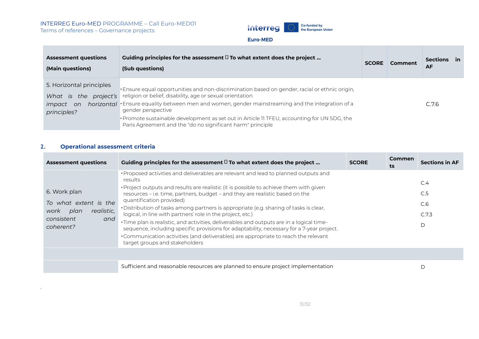#### INTERREG Euro-MED PROGRAMME – Call Euro-MED01 Terms of references – Governance projects



#### **Euro-MED**

| <b>Assessment questions</b><br>(Main questions)                                         | Guiding principles for the assessment $\Box$ To what extent does the project<br>(Sub questions)                                                                                                                                                                                                                                                                                                                                                  | <b>SCORE</b> | Comment | Sections in<br>AF |  |
|-----------------------------------------------------------------------------------------|--------------------------------------------------------------------------------------------------------------------------------------------------------------------------------------------------------------------------------------------------------------------------------------------------------------------------------------------------------------------------------------------------------------------------------------------------|--------------|---------|-------------------|--|
| 5. Horizontal principles<br>What is the<br>project's<br><i>impact</i> on<br>principles? | · Ensure equal opportunities and non-discrimination based on gender, racial or ethnic origin,<br>religion or belief, disability, age or sexual orientation<br>horizontal Ensure equality between men and women, gender mainstreaming and the integration of a<br>gender perspective<br>• Promote sustainable development as set out in Article II TFEU, accounting for UN SDG, the<br>Paris Agreement and the "do no significant harm" principle |              |         | C.7.6             |  |

#### **2. Operational assessment criteria**

| <b>Assessment questions</b>                                                                           | Guiding principles for the assessment $\Box$ To what extent does the project                                                                                                                                                                                                                                                                                                                                                                                                                                                                                                                                                                                                                                                                                                     | <b>SCORE</b> | <b>Commen</b><br>ts | <b>Sections in AF</b>           |
|-------------------------------------------------------------------------------------------------------|----------------------------------------------------------------------------------------------------------------------------------------------------------------------------------------------------------------------------------------------------------------------------------------------------------------------------------------------------------------------------------------------------------------------------------------------------------------------------------------------------------------------------------------------------------------------------------------------------------------------------------------------------------------------------------------------------------------------------------------------------------------------------------|--------------|---------------------|---------------------------------|
| 6. Work plan<br>To what extent is the<br>realistic.<br>plan<br>work<br>consistent<br>and<br>coherent? | • Proposed activities and deliverables are relevant and lead to planned outputs and<br>results<br>• Project outputs and results are realistic (it is possible to achieve them with given<br>resources – i.e. time, partners, budget – and they are realistic based on the<br>quantification provided)<br>. Distribution of tasks among partners is appropriate (e.g. sharing of tasks is clear,<br>logical, in line with partners' role in the project, etc.)<br>· Time plan is realistic, and activities, deliverables and outputs are in a logical time-<br>sequence, including specific provisions for adaptability, necessary for a 7-year project.<br>• Communication activities (and deliverables) are appropriate to reach the relevant<br>target groups and stakeholders |              |                     | C.4<br>C.5<br>C.6<br>C.7.3<br>D |
|                                                                                                       |                                                                                                                                                                                                                                                                                                                                                                                                                                                                                                                                                                                                                                                                                                                                                                                  |              |                     |                                 |
|                                                                                                       | Sufficient and reasonable resources are planned to ensure project implementation                                                                                                                                                                                                                                                                                                                                                                                                                                                                                                                                                                                                                                                                                                 |              |                     | D                               |